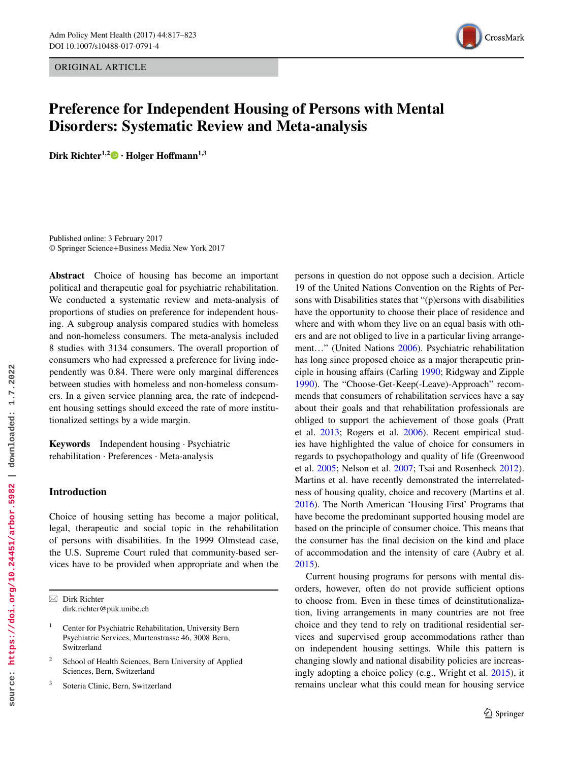ORIGINAL ARTICLE



# **Preference for Independent Housing of Persons with Mental Disorders: Systematic Review and Meta-analysis**

DirkRichter<sup>1,2</sup> **•** Holger Hoffmann<sup>1,3</sup>

Published online: 3 February 2017 © Springer Science+Business Media New York 2017

**Abstract** Choice of housing has become an important political and therapeutic goal for psychiatric rehabilitation. We conducted a systematic review and meta-analysis of proportions of studies on preference for independent housing. A subgroup analysis compared studies with homeless and non-homeless consumers. The meta-analysis included 8 studies with 3134 consumers. The overall proportion of consumers who had expressed a preference for living independently was 0.84. There were only marginal differences between studies with homeless and non-homeless consumers. In a given service planning area, the rate of independent housing settings should exceed the rate of more institutionalized settings by a wide margin.

**Keywords** Independent housing · Psychiatric rehabilitation · Preferences · Meta-analysis

## **Introduction**

Choice of housing setting has become a major political, legal, therapeutic and social topic in the rehabilitation of persons with disabilities. In the 1999 Olmstead case, the U.S. Supreme Court ruled that community-based services have to be provided when appropriate and when the persons in question do not oppose such a decision. Article 19 of the United Nations Convention on the Rights of Persons with Disabilities states that "(p)ersons with disabilities have the opportunity to choose their place of residence and where and with whom they live on an equal basis with others and are not obliged to live in a particular living arrangement…" (United Nations 2006). Psychiatric rehabilitation has long since proposed choice as a major therapeutic principle in housing affairs (Carling 1990; Ridgway and Zipple 1990). The "Choose-Get-Keep(-Leave)-Approach" recommends that consumers of rehabilitation services have a say about their goals and that rehabilitation professionals are obliged to support the achievement of those goals (Pratt et al. 2013; Rogers et al. 2006). Recent empirical studies have highlighted the value of choice for consumers in regards to psychopathology and quality of life (Greenwood et al. 2005; Nelson et al. 2007; Tsai and Rosenheck 2012). Martins et al. have recently demonstrated the interrelatedness of housing quality, choice and recovery (Martins et al. 2016). The North American 'Housing First' Programs that have become the predominant supported housing model are based on the principle of consumer choice. This means that the consumer has the final decision on the kind and place of accommodation and the intensity of care (Aubry et al. 2015).

Current housing programs for persons with mental disorders, however, often do not provide sufficient options to choose from. Even in these times of deinstitutionalization, living arrangements in many countries are not free choice and they tend to rely on traditional residential services and supervised group accommodations rather than on independent housing settings. While this pattern is changing slowly and national disability policies are increasingly adopting a choice policy (e.g., Wright et al. 2015), it remains unclear what this could mean for housing service

 $\boxtimes$  Dirk Richter dirk.richter@puk.unibe.ch

<sup>&</sup>lt;sup>1</sup> Center for Psychiatric Rehabilitation, University Bern Psychiatric Services, Murtenstrasse 46, 3008 Bern, Switzerland

<sup>2</sup> School of Health Sciences, Bern University of Applied Sciences, Bern, Switzerland

<sup>3</sup> Soteria Clinic, Bern, Switzerland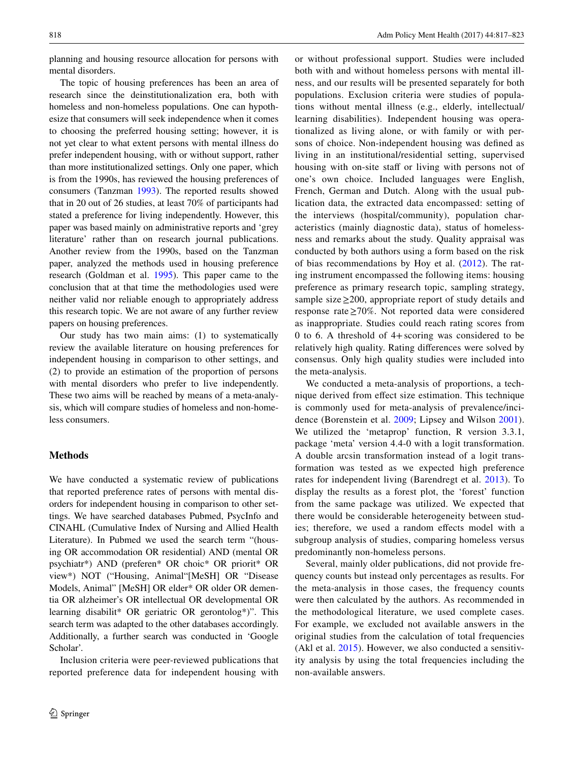planning and housing resource allocation for persons with mental disorders.

The topic of housing preferences has been an area of research since the deinstitutionalization era, both with homeless and non-homeless populations. One can hypothesize that consumers will seek independence when it comes to choosing the preferred housing setting; however, it is not yet clear to what extent persons with mental illness do prefer independent housing, with or without support, rather than more institutionalized settings. Only one paper, which is from the 1990s, has reviewed the housing preferences of consumers (Tanzman 1993). The reported results showed that in 20 out of 26 studies, at least 70% of participants had stated a preference for living independently. However, this paper was based mainly on administrative reports and 'grey literature' rather than on research journal publications. Another review from the 1990s, based on the Tanzman paper, analyzed the methods used in housing preference research (Goldman et al. 1995). This paper came to the conclusion that at that time the methodologies used were neither valid nor reliable enough to appropriately address this research topic. We are not aware of any further review papers on housing preferences.

Our study has two main aims: (1) to systematically review the available literature on housing preferences for independent housing in comparison to other settings, and (2) to provide an estimation of the proportion of persons with mental disorders who prefer to live independently. These two aims will be reached by means of a meta-analysis, which will compare studies of homeless and non-homeless consumers.

### **Methods**

We have conducted a systematic review of publications that reported preference rates of persons with mental disorders for independent housing in comparison to other settings. We have searched databases Pubmed, PsycInfo and CINAHL (Cumulative Index of Nursing and Allied Health Literature). In Pubmed we used the search term "(housing OR accommodation OR residential) AND (mental OR psychiatr\*) AND (preferen\* OR choic\* OR priorit\* OR view\*) NOT ("Housing, Animal"[MeSH] OR "Disease Models, Animal" [MeSH] OR elder\* OR older OR dementia OR alzheimer's OR intellectual OR developmental OR learning disabilit\* OR geriatric OR gerontolog\*)". This search term was adapted to the other databases accordingly. Additionally, a further search was conducted in 'Google Scholar'.

Inclusion criteria were peer-reviewed publications that reported preference data for independent housing with or without professional support. Studies were included both with and without homeless persons with mental illness, and our results will be presented separately for both populations. Exclusion criteria were studies of populations without mental illness (e.g., elderly, intellectual/ learning disabilities). Independent housing was operationalized as living alone, or with family or with persons of choice. Non-independent housing was defined as living in an institutional/residential setting, supervised housing with on-site staff or living with persons not of one's own choice. Included languages were English, French, German and Dutch. Along with the usual publication data, the extracted data encompassed: setting of the interviews (hospital/community), population characteristics (mainly diagnostic data), status of homelessness and remarks about the study. Quality appraisal was conducted by both authors using a form based on the risk of bias recommendations by Hoy et al.  $(2012)$ . The rating instrument encompassed the following items: housing preference as primary research topic, sampling strategy, sample size≥200, appropriate report of study details and response rate≥70%. Not reported data were considered as inappropriate. Studies could reach rating scores from 0 to 6. A threshold of 4+scoring was considered to be relatively high quality. Rating differences were solved by consensus. Only high quality studies were included into the meta-analysis.

We conducted a meta-analysis of proportions, a technique derived from effect size estimation. This technique is commonly used for meta-analysis of prevalence/incidence (Borenstein et al. 2009; Lipsey and Wilson 2001). We utilized the 'metaprop' function, R version 3.3.1, package 'meta' version 4.4-0 with a logit transformation. A double arcsin transformation instead of a logit transformation was tested as we expected high preference rates for independent living (Barendregt et al. 2013). To display the results as a forest plot, the 'forest' function from the same package was utilized. We expected that there would be considerable heterogeneity between studies; therefore, we used a random effects model with a subgroup analysis of studies, comparing homeless versus predominantly non-homeless persons.

Several, mainly older publications, did not provide frequency counts but instead only percentages as results. For the meta-analysis in those cases, the frequency counts were then calculated by the authors. As recommended in the methodological literature, we used complete cases. For example, we excluded not available answers in the original studies from the calculation of total frequencies (Akl et al. 2015). However, we also conducted a sensitivity analysis by using the total frequencies including the non-available answers.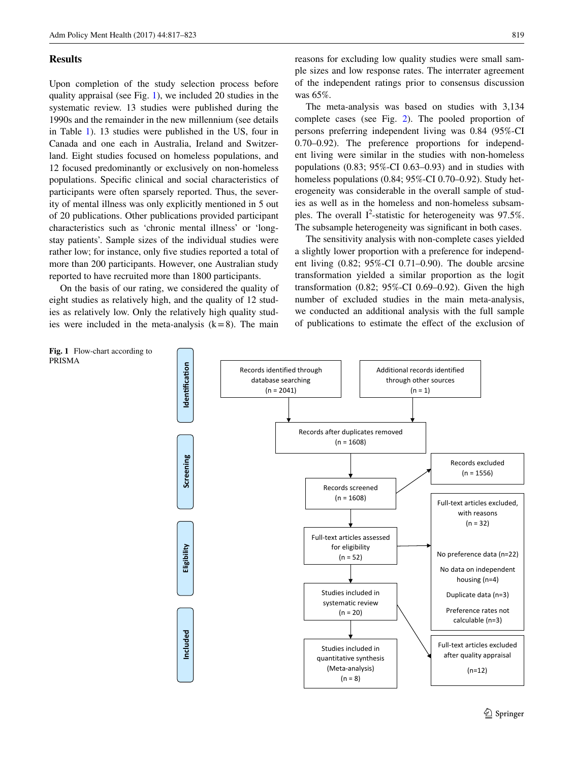#### **Results**

Upon completion of the study selection process before quality appraisal (see Fig. 1), we included 20 studies in the systematic review. 13 studies were published during the 1990s and the remainder in the new millennium (see details in Table 1). 13 studies were published in the US, four in Canada and one each in Australia, Ireland and Switzerland. Eight studies focused on homeless populations, and 12 focused predominantly or exclusively on non-homeless populations. Specific clinical and social characteristics of participants were often sparsely reported. Thus, the severity of mental illness was only explicitly mentioned in 5 out of 20 publications. Other publications provided participant characteristics such as 'chronic mental illness' or 'longstay patients'. Sample sizes of the individual studies were rather low; for instance, only five studies reported a total of more than 200 participants. However, one Australian study reported to have recruited more than 1800 participants.

On the basis of our rating, we considered the quality of eight studies as relatively high, and the quality of 12 studies as relatively low. Only the relatively high quality studies were included in the meta-analysis  $(k=8)$ . The main reasons for excluding low quality studies were small sample sizes and low response rates. The interrater agreement of the independent ratings prior to consensus discussion was 65%.

The meta-analysis was based on studies with 3,134 complete cases (see Fig. 2). The pooled proportion of persons preferring independent living was 0.84 (95%-CI 0.70–0.92). The preference proportions for independent living were similar in the studies with non-homeless populations (0.83; 95%-CI 0.63–0.93) and in studies with homeless populations (0.84; 95%-CI 0.70–0.92). Study heterogeneity was considerable in the overall sample of studies as well as in the homeless and non-homeless subsamples. The overall  $I^2$ -statistic for heterogeneity was 97.5%. The subsample heterogeneity was significant in both cases.

The sensitivity analysis with non-complete cases yielded a slightly lower proportion with a preference for independent living (0.82; 95%-CI 0.71–0.90). The double arcsine transformation yielded a similar proportion as the logit transformation (0.82; 95%-CI 0.69–0.92). Given the high number of excluded studies in the main meta-analysis, we conducted an additional analysis with the full sample of publications to estimate the effect of the exclusion of

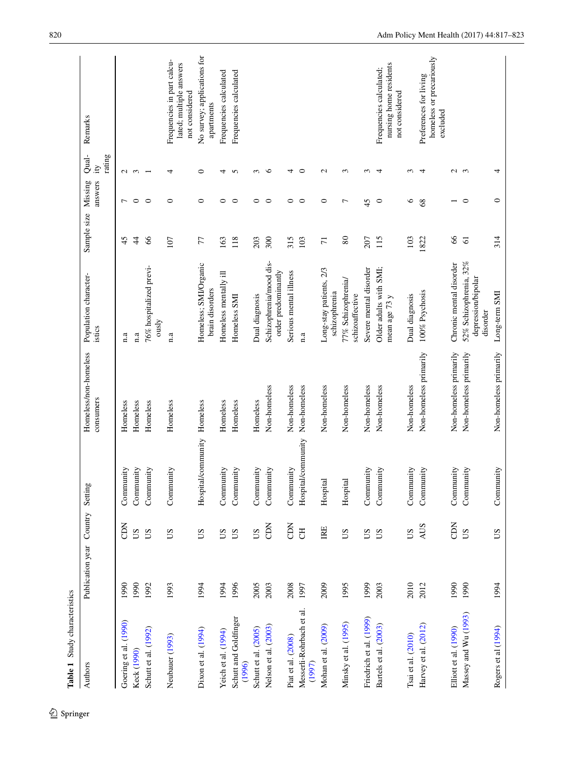| Authors                            | Publication year Country Setting |                |                             | Homeless/non-homeless<br>consumers | Population character-<br>istics                          | Sample size    | Missing<br>answers | Qual-<br>rating<br>ity | Remarks                                                                 |
|------------------------------------|----------------------------------|----------------|-----------------------------|------------------------------------|----------------------------------------------------------|----------------|--------------------|------------------------|-------------------------------------------------------------------------|
| Goering et al. (1990)              | 1990                             | CDN            | Community                   | Homeless                           | a                                                        | 45             | $\overline{ }$     | $\sim$                 |                                                                         |
| Keck (1990)                        | 1990                             | $\mathbf{S}$   | Community                   | Homeless                           | a                                                        | $\ddot{4}$     | $\circ$            | $\sim$                 |                                                                         |
| Schutt et al. (1992)               | 1992                             | $\overline{S}$ | Community                   | Homeless                           | 76% hospitalized previ-<br>ously                         | $\delta$       | $\circ$            |                        |                                                                         |
| Neubauer (1993)                    | 1993                             | SU             | Community                   | Homeless                           | a                                                        | 107            | $\circ$            | 4                      | Frequencies in part calcu-<br>lated; multiple answers<br>not considered |
| Dixon et al. $(1994)$              | 1994                             | SU             | Hospital/community Homeless |                                    | Homeless; SMI/Organic<br>brain disorders                 | 77             | $\circ$            | $\circ$                | No survey; applications for<br>apartments                               |
| Yeich et al. (1994)                | 1994                             | SU             | Community                   | Homeless                           | Homeless mentally ill                                    | 163            | 0                  | 4                      | Frequencies calculated                                                  |
| Schutt and Goldfinger<br>(1996)    | 1996                             | SU             | Community                   | Homeless                           | Homeless SMI                                             | 118            | $\circ$            | $\sim$                 | Frequencies calculated                                                  |
| Schutt et al. (2005)               | 2005                             | SU             | Community                   | Homeless                           | Dual diagnosis                                           | 203            | ○                  | 3                      |                                                                         |
| Nelson et al. (2003)               | 2003                             | CDN            | Community                   | Non-homeless                       | Schizophrenia/mood dis-<br>order predominantly           | 300            | $\circ$            | $\circ$                |                                                                         |
| Piat et al. (2008)                 | 2008                             | CDN            | Community                   | Non-homeless                       | Serious mental illness                                   | 315            | $\circ$            | 4                      |                                                                         |
| Messerli-Rohrbach et al.<br>(1997) | 1997                             | FO             | l/community<br>Hospital     | Non-homeless                       | a                                                        | 103            | $\circ$            | $\circ$                |                                                                         |
| Mohan et al. (2009)                | 2009                             | <b>IRE</b>     | Hospital                    | Non-homeless                       | Long-stay patients, 2/3<br>schizophrenia                 | $\overline{7}$ | 0                  | $\mathbf{C}$           |                                                                         |
| Minsky et al. (1995)               | 1995                             | $\mathbf{S}$   | Hospital                    | Non-homeless                       | 77% Schizophrenia/<br>schizoaffective                    | 80             | $\overline{ }$     | 3                      |                                                                         |
| Friedrich et al. (1999)            | 1999                             | SU             | Community                   | Non-homeless                       | Severe mental disorder                                   | 207            | 45                 | 3                      |                                                                         |
| Bartels et al. (2003)              | 2003                             | $\mathbf{S}$   | Community                   | Non-homeless                       | Older adults with SMI;<br>mean age 73 y                  | 115            | $\circ$            | $\overline{4}$         | nursing home residents<br>Frequencies calculated;<br>not considered     |
| Tsai et al. (2010)                 | 2010                             | SU             | Community                   | Non-homeless                       | Dual diagnosis                                           | 103            | $\circ$            | 3                      |                                                                         |
| Harvey et al. (2012)               | 2012                             | <b>AUS</b>     | Community                   | Non-homeless primarily             | 100% Psychosis                                           | 1822           | 68                 | 4                      | homeless or precariously<br>Preferences for living<br>excluded          |
| Elliott et al. (1990)              | 1990                             | <b>CDN</b>     | Community                   | Non-homeless primarily             | Chronic mental disorder                                  | 66             |                    |                        |                                                                         |
| Massey and Wu (1993)               | 1990                             | <b>SU</b>      | Community                   | Non-homeless primarily             | 52% Schizophrenia, 32%<br>depression/bipolar<br>disorder | $\overline{6}$ | $\circ$            | $\sim$ $\sim$          |                                                                         |
| Rogers et al (1994)                | 1994                             | <b>SO</b>      | Community                   | Non-homeless primarily             | Long-term SMI                                            | 314            | $\circ$            | 4                      |                                                                         |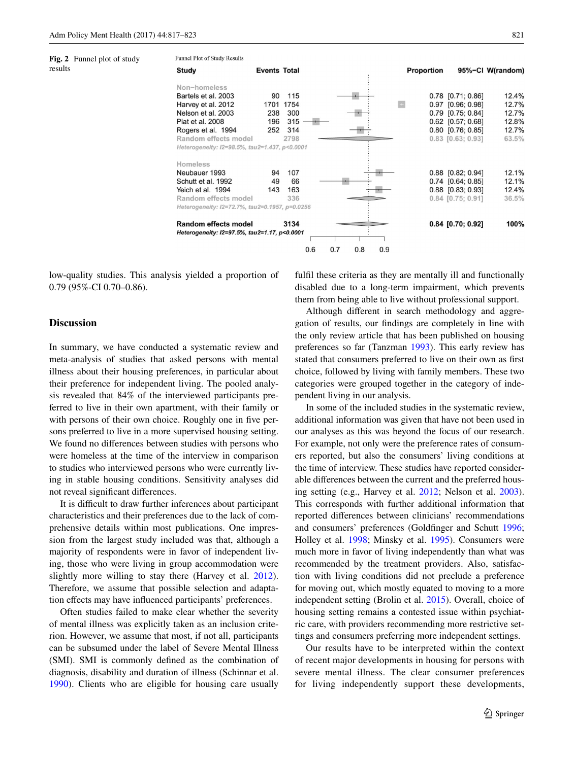Euro Dlot of Study Bossit

**Fig. 2** Funnel plot of study results

| I annel I fot of staat Results                 |                     |      |     |     |     |     |            |                       |                  |
|------------------------------------------------|---------------------|------|-----|-----|-----|-----|------------|-----------------------|------------------|
| Study                                          | <b>Events Total</b> |      |     |     |     |     | Proportion |                       | 95%-CI W(random) |
| Non-homeless                                   |                     |      |     |     |     |     |            |                       |                  |
| Bartels et al. 2003                            | 90                  | 115  |     |     |     |     |            | $0.78$ [0.71; 0.86]   | 12.4%            |
| Harvey et al. 2012                             | 1701                | 1754 |     |     |     |     |            | 0.97 [0.96: 0.98]     | 12.7%            |
| Nelson et al. 2003                             | 238                 | 300  |     |     |     |     |            | 0.79 [0.75; 0.84]     | 12.7%            |
| Piat et al. 2008                               | 196                 | 315  |     |     |     |     |            | $0.62$ [0.57; 0.68]   | 12.8%            |
| Rogers et al. 1994                             | 252                 | 314  |     |     |     |     |            | 0.80 [0.76; 0.85]     | 12.7%            |
| Random effects model                           |                     | 2798 |     |     |     |     |            | $0.83$ $[0.63; 0.93]$ | 63.5%            |
| Heterogeneity: I2=98.5%, tau2=1.437, p<0.0001  |                     |      |     |     |     |     |            |                       |                  |
| Homeless                                       |                     |      |     |     |     |     |            |                       |                  |
| Neubauer 1993                                  | 94                  | 107  |     |     |     |     |            | 0.88 [0.82; 0.94]     | 12.1%            |
| Schutt et al. 1992                             | 49                  | 66   |     |     |     |     |            | $0.74$ [0.64; 0.85]   | 12.1%            |
| Yeich et al. 1994                              | 143                 | 163  |     |     |     |     |            | 0.88 [0.83; 0.93]     | 12.4%            |
| Random effects model                           |                     | 336  |     |     |     |     |            | $0.84$ [0.75; 0.91]   | 36.5%            |
| Heterogeneity: I2=72.7%, tau2=0.1957, p=0.0256 |                     |      |     |     |     |     |            |                       |                  |
| Random effects model                           |                     | 3134 |     |     |     |     |            | 0.84 [0.70; 0.92]     | 100%             |
| Heterogeneity: I2=97.5%, tau2=1.17, p<0.0001   |                     |      |     |     |     |     |            |                       |                  |
|                                                |                     |      |     |     |     |     |            |                       |                  |
|                                                |                     |      | 0.6 | 0.7 | 0.8 | 0.9 |            |                       |                  |

low-quality studies. This analysis yielded a proportion of 0.79 (95%-CI 0.70–0.86).

## fulfil these criteria as they are mentally ill and functionally disabled due to a long-term impairment, which prevents them from being able to live without professional support.

#### **Discussion**

In summary, we have conducted a systematic review and meta-analysis of studies that asked persons with mental illness about their housing preferences, in particular about their preference for independent living. The pooled analysis revealed that 84% of the interviewed participants preferred to live in their own apartment, with their family or with persons of their own choice. Roughly one in five persons preferred to live in a more supervised housing setting. We found no differences between studies with persons who were homeless at the time of the interview in comparison to studies who interviewed persons who were currently living in stable housing conditions. Sensitivity analyses did not reveal significant differences.

It is difficult to draw further inferences about participant characteristics and their preferences due to the lack of comprehensive details within most publications. One impression from the largest study included was that, although a majority of respondents were in favor of independent living, those who were living in group accommodation were slightly more willing to stay there (Harvey et al. 2012). Therefore, we assume that possible selection and adaptation effects may have influenced participants' preferences.

Often studies failed to make clear whether the severity of mental illness was explicitly taken as an inclusion criterion. However, we assume that most, if not all, participants can be subsumed under the label of Severe Mental Illness (SMI). SMI is commonly defined as the combination of diagnosis, disability and duration of illness (Schinnar et al. 1990). Clients who are eligible for housing care usually

Although different in search methodology and aggregation of results, our findings are completely in line with the only review article that has been published on housing preferences so far (Tanzman 1993). This early review has stated that consumers preferred to live on their own as first choice, followed by living with family members. These two categories were grouped together in the category of independent living in our analysis.

In some of the included studies in the systematic review, additional information was given that have not been used in our analyses as this was beyond the focus of our research. For example, not only were the preference rates of consumers reported, but also the consumers' living conditions at the time of interview. These studies have reported considerable differences between the current and the preferred housing setting (e.g., Harvey et al. 2012; Nelson et al. 2003). This corresponds with further additional information that reported differences between clinicians' recommendations and consumers' preferences (Goldfinger and Schutt 1996; Holley et al. 1998; Minsky et al. 1995). Consumers were much more in favor of living independently than what was recommended by the treatment providers. Also, satisfaction with living conditions did not preclude a preference for moving out, which mostly equated to moving to a more independent setting (Brolin et al. 2015). Overall, choice of housing setting remains a contested issue within psychiatric care, with providers recommending more restrictive settings and consumers preferring more independent settings.

Our results have to be interpreted within the context of recent major developments in housing for persons with severe mental illness. The clear consumer preferences for living independently support these developments,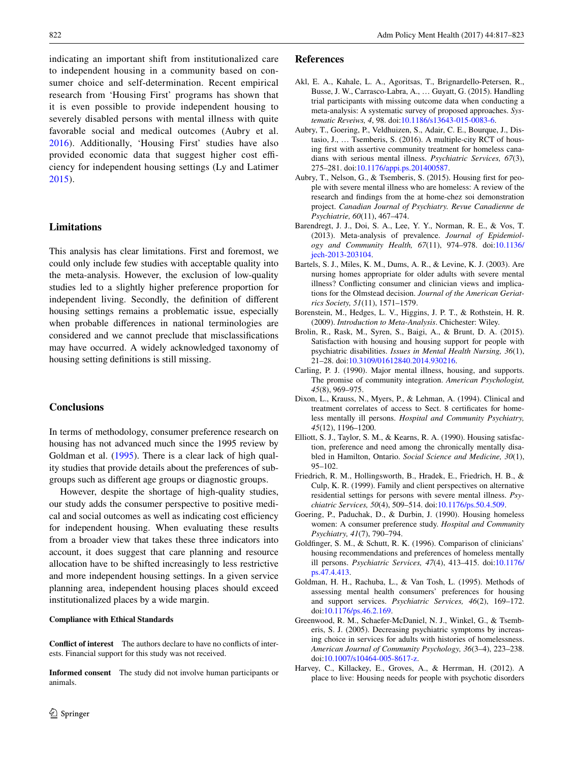822 Adm Policy Ment Health (2017) 44:817–823

indicating an important shift from institutionalized care to independent housing in a community based on consumer choice and self-determination. Recent empirical research from 'Housing First' programs has shown that it is even possible to provide independent housing to severely disabled persons with mental illness with quite favorable social and medical outcomes (Aubry et al. 2016). Additionally, 'Housing First' studies have also provided economic data that suggest higher cost efficiency for independent housing settings (Ly and Latimer 2015).

### **Limitations**

This analysis has clear limitations. First and foremost, we could only include few studies with acceptable quality into the meta-analysis. However, the exclusion of low-quality studies led to a slightly higher preference proportion for independent living. Secondly, the definition of different housing settings remains a problematic issue, especially when probable differences in national terminologies are considered and we cannot preclude that misclassifications may have occurred. A widely acknowledged taxonomy of housing setting definitions is still missing.

### **Conclusions**

In terms of methodology, consumer preference research on housing has not advanced much since the 1995 review by Goldman et al. (1995). There is a clear lack of high quality studies that provide details about the preferences of subgroups such as different age groups or diagnostic groups.

However, despite the shortage of high-quality studies, our study adds the consumer perspective to positive medical and social outcomes as well as indicating cost efficiency for independent housing. When evaluating these results from a broader view that takes these three indicators into account, it does suggest that care planning and resource allocation have to be shifted increasingly to less restrictive and more independent housing settings. In a given service planning area, independent housing places should exceed institutionalized places by a wide margin.

#### **Compliance with Ethical Standards**

**Conflict of interest** The authors declare to have no conflicts of interests. Financial support for this study was not received.

**Informed consent** The study did not involve human participants or animals.

## **References**

- Akl, E. A., Kahale, L. A., Agoritsas, T., Brignardello-Petersen, R., Busse, J. W., Carrasco-Labra, A., … Guyatt, G. (2015). Handling trial participants with missing outcome data when conducting a meta-analysis: A systematic survey of proposed approaches. *Systematic Reveiws, 4*, 98. doi[:10.1186/s13643-015-0083-6](http://dx.doi.org/10.1186/s13643-015-0083-6).
- Aubry, T., Goering, P., Veldhuizen, S., Adair, C. E., Bourque, J., Distasio, J., … Tsemberis, S. (2016). A multiple-city RCT of housing first with assertive community treatment for homeless canadians with serious mental illness. *Psychiatric Services, 67*(3), 275–281. doi[:10.1176/appi.ps.201400587](http://dx.doi.org/10.1176/appi.ps.201400587).
- Aubry, T., Nelson, G., & Tsemberis, S. (2015). Housing first for people with severe mental illness who are homeless: A review of the research and findings from the at home-chez soi demonstration project. *Canadian Journal of Psychiatry. Revue Canadienne de Psychiatrie, 60*(11), 467–474.
- Barendregt, J. J., Doi, S. A., Lee, Y. Y., Norman, R. E., & Vos, T. (2013). Meta-analysis of prevalence. *Journal of Epidemiology and Community Health, 67*(11), 974–978. doi[:10.1136/](http://dx.doi.org/10.1136/jech-2013-203104) [jech-2013-203104](http://dx.doi.org/10.1136/jech-2013-203104).
- Bartels, S. J., Miles, K. M., Dums, A. R., & Levine, K. J. (2003). Are nursing homes appropriate for older adults with severe mental illness? Conflicting consumer and clinician views and implications for the Olmstead decision. *Journal of the American Geriatrics Society, 51*(11), 1571–1579.
- Borenstein, M., Hedges, L. V., Higgins, J. P. T., & Rothstein, H. R. (2009). *Introduction to Meta-Analysis*. Chichester: Wiley.
- Brolin, R., Rask, M., Syren, S., Baigi, A., & Brunt, D. A. (2015). Satisfaction with housing and housing support for people with psychiatric disabilities. *Issues in Mental Health Nursing, 36*(1), 21–28. doi:[10.3109/01612840.2014.930216.](http://dx.doi.org/10.3109/01612840.2014.930216)
- Carling, P. J. (1990). Major mental illness, housing, and supports. The promise of community integration. *American Psychologist, 45*(8), 969–975.
- Dixon, L., Krauss, N., Myers, P., & Lehman, A. (1994). Clinical and treatment correlates of access to Sect. 8 certificates for homeless mentally ill persons. *Hospital and Community Psychiatry, 45*(12), 1196–1200.
- Elliott, S. J., Taylor, S. M., & Kearns, R. A. (1990). Housing satisfaction, preference and need among the chronically mentally disabled in Hamilton, Ontario. *Social Science and Medicine, 30*(1), 95–102.
- Friedrich, R. M., Hollingsworth, B., Hradek, E., Friedrich, H. B., & Culp, K. R. (1999). Family and client perspectives on alternative residential settings for persons with severe mental illness. *Psychiatric Services, 50*(4), 509–514. doi[:10.1176/ps.50.4.509.](http://dx.doi.org/10.1176/ps.50.4.509)
- Goering, P., Paduchak, D., & Durbin, J. (1990). Housing homeless women: A consumer preference study. *Hospital and Community Psychiatry, 41*(7), 790–794.
- Goldfinger, S. M., & Schutt, R. K. (1996). Comparison of clinicians' housing recommendations and preferences of homeless mentally ill persons. *Psychiatric Services, 47*(4), 413–415. doi[:10.1176/](http://dx.doi.org/10.1176/ps.47.4.413) [ps.47.4.413.](http://dx.doi.org/10.1176/ps.47.4.413)
- Goldman, H. H., Rachuba, L., & Van Tosh, L. (1995). Methods of assessing mental health consumers' preferences for housing and support services. *Psychiatric Services, 46*(2), 169–172. doi[:10.1176/ps.46.2.169.](http://dx.doi.org/10.1176/ps.46.2.169)
- Greenwood, R. M., Schaefer-McDaniel, N. J., Winkel, G., & Tsemberis, S. J. (2005). Decreasing psychiatric symptoms by increasing choice in services for adults with histories of homelessness. *American Journal of Community Psychology, 36*(3–4), 223–238. doi[:10.1007/s10464-005-8617-z.](http://dx.doi.org/10.1007/s10464-005-8617-z)
- Harvey, C., Killackey, E., Groves, A., & Herrman, H. (2012). A place to live: Housing needs for people with psychotic disorders